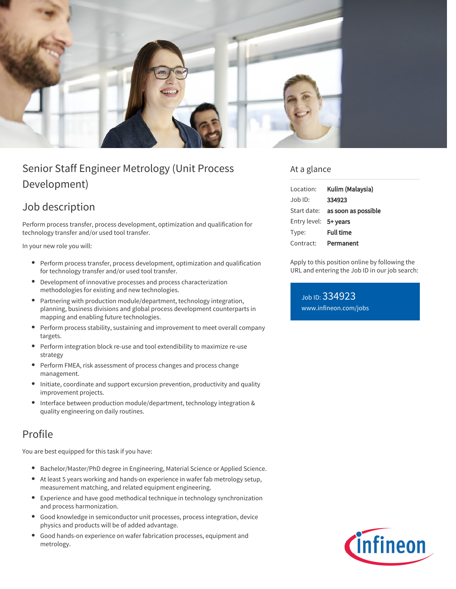

# Senior Staff Engineer Metrology (Unit Process Development)

## Job description

Perform process transfer, process development, optimization and qualification for technology transfer and/or used tool transfer.

In your new role you will:

- Perform process transfer, process development, optimization and qualification for technology transfer and/or used tool transfer.
- Development of innovative processes and process characterization  $\bullet$ methodologies for existing and new technologies.
- Partnering with production module/department, technology integration, planning, business divisions and global process development counterparts in mapping and enabling future technologies.
- $\bullet$ Perform process stability, sustaining and improvement to meet overall company targets.
- Perform integration block re-use and tool extendibility to maximize re-use strategy
- Perform FMEA, risk assessment of process changes and process change management.
- Initiate, coordinate and support excursion prevention, productivity and quality improvement projects.
- Interface between production module/department, technology integration & quality engineering on daily routines.

### Profile

You are best equipped for this task if you have:

- Bachelor/Master/PhD degree in Engineering, Material Science or Applied Science.
- At least 5 years working and hands-on experience in wafer fab metrology setup, measurement matching, and related equipment engineering.
- Experience and have good methodical technique in technology synchronization and process harmonization.
- Good knowledge in semiconductor unit processes, process integration, device physics and products will be of added advantage.
- Good hands-on experience on wafer fabrication processes, equipment and  $\bullet$ metrology.

#### At a glance

| Location:             | Kulim (Malaysia)                |
|-----------------------|---------------------------------|
| $Job$ ID:             | 334923                          |
|                       | Start date: as soon as possible |
| Entry level: 5+ years |                                 |
| Type:                 | <b>Full time</b>                |
| Contract:             | Permanent                       |

Apply to this position online by following the URL and entering the Job ID in our job search:

Job ID: 334923 [www.infineon.com/jobs](https://www.infineon.com/jobs)